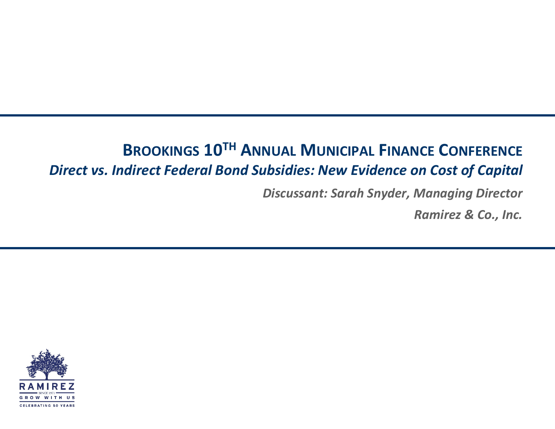## **BROOKINGS 10TH ANNUAL MUNICIPAL FINANCE CONFERENCE** *Direct vs. Indirect Federal Bond Subsidies: New Evidence on Cost of Capital*

*Discussant: Sarah Snyder, Managing Director* 

*Ramirez & Co., Inc.*

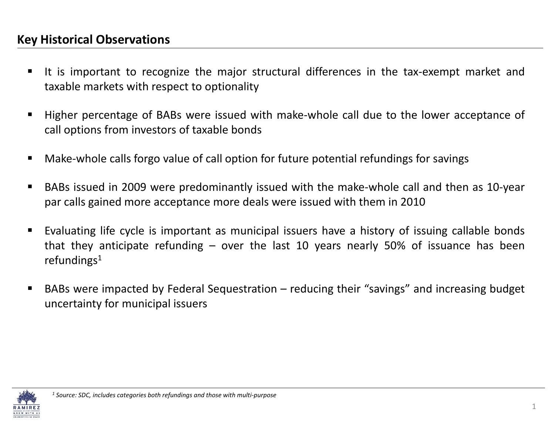## **Key Historical Observations**

- It is important to recognize the major structural differences in the tax‐exempt market and taxable markets with respect to optionality
- Higher percentage of BABs were issued with make‐whole call due to the lower acceptance of call options from investors of taxable bonds
- п Make‐whole calls forgo value of call option for future potential refundings for savings
- п BABs issued in 2009 were predominantly issued with the make‐whole call and then as 10‐year par calls gained more acceptance more deals were issued with them in 2010
- Evaluating life cycle is important as municipal issuers have <sup>a</sup> history of issuing callable bonds that they anticipate refunding – over the last 10 years nearly 50% of issuance has been refundings $1$
- BABs were impacted by Federal Sequestration reducing their "savings" and increasing budget uncertainty for municipal issuers

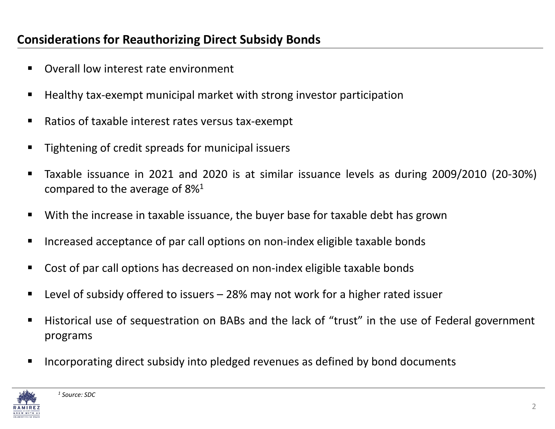## **Considerations for Reauthorizing Direct Subsidy Bonds**

- $\blacksquare$ ■ Overall low interest rate environment
- Healthy tax-exempt municipal market with strong investor participation
- Ratios of taxable interest rates versus tax-exempt
- $\blacksquare$ ■ Tightening of credit spreads for municipal issuers
- $\blacksquare$ Taxable issuance in <sup>2021</sup> and <sup>2020</sup> is at similar issuance levels as during 2009/2010 (20‐30%) compared to the average of  $8\%^1$
- $\blacksquare$ ■ With the increase in taxable issuance, the buyer base for taxable debt has grown
- $\blacksquare$ ■ Increased acceptance of par call options on non-index eligible taxable bonds
- $\blacksquare$ ■ Cost of par call options has decreased on non-index eligible taxable bonds
- Level of subsidy offered to issuers 28% may not work for a higher rated issuer
- Historical use of sequestration on BABs and the lack of "trust" in the use of Federal government programs
- Incorporating direct subsidy into pledged revenues as defined by bond documents